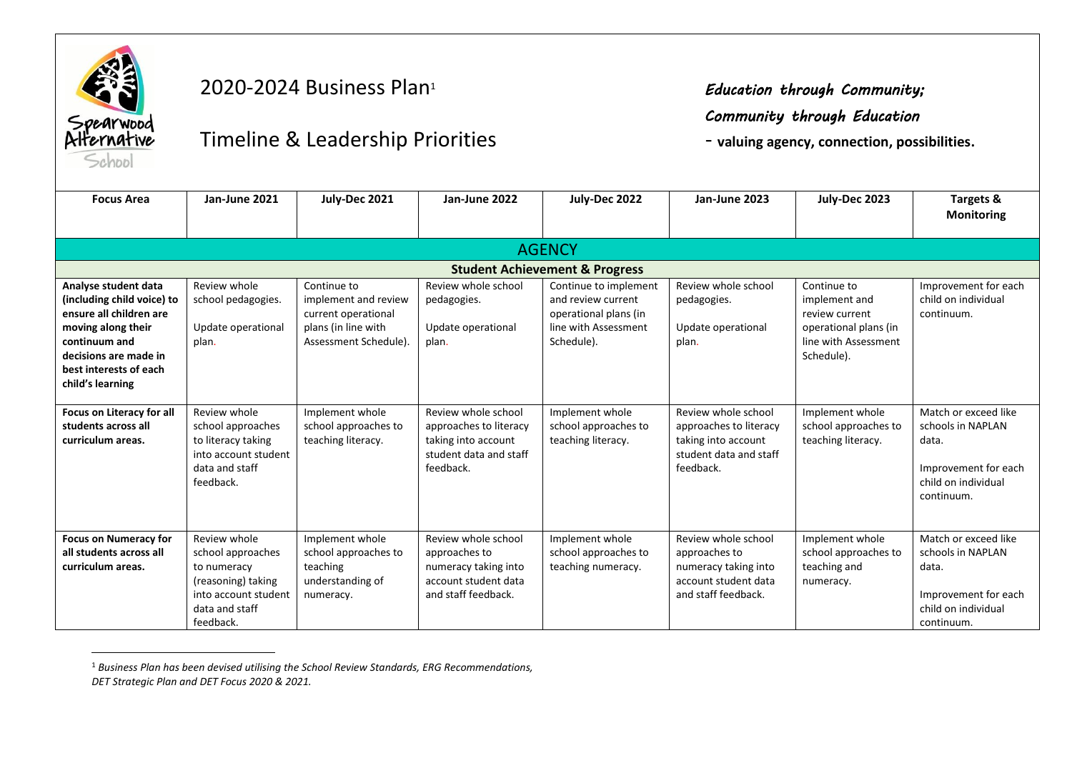

 $\overline{a}$ 

## 2020-2024 Business Plan<sup>1</sup> *Education through Community;*

## *Community through Education*

Timeline & Leadership Priorities **and the Connection of the View Algency**, connection, possibilities.

| <b>Focus Area</b>                                                                                                                                                                           | Jan-June 2021                                                                                                                 | July-Dec 2021                                                                                              | Jan-June 2022                                                                                               | July-Dec 2022                                                                                              | Jan-June 2023                                                                                               | July-Dec 2023                                                                                                 | Targets &                                                                                                       |  |  |
|---------------------------------------------------------------------------------------------------------------------------------------------------------------------------------------------|-------------------------------------------------------------------------------------------------------------------------------|------------------------------------------------------------------------------------------------------------|-------------------------------------------------------------------------------------------------------------|------------------------------------------------------------------------------------------------------------|-------------------------------------------------------------------------------------------------------------|---------------------------------------------------------------------------------------------------------------|-----------------------------------------------------------------------------------------------------------------|--|--|
|                                                                                                                                                                                             |                                                                                                                               |                                                                                                            |                                                                                                             |                                                                                                            |                                                                                                             |                                                                                                               | <b>Monitoring</b>                                                                                               |  |  |
|                                                                                                                                                                                             |                                                                                                                               |                                                                                                            |                                                                                                             | <b>AGENCY</b>                                                                                              |                                                                                                             |                                                                                                               |                                                                                                                 |  |  |
| <b>Student Achievement &amp; Progress</b>                                                                                                                                                   |                                                                                                                               |                                                                                                            |                                                                                                             |                                                                                                            |                                                                                                             |                                                                                                               |                                                                                                                 |  |  |
| Analyse student data<br>(including child voice) to<br>ensure all children are<br>moving along their<br>continuum and<br>decisions are made in<br>best interests of each<br>child's learning | Review whole<br>school pedagogies.<br>Update operational<br>plan.                                                             | Continue to<br>implement and review<br>current operational<br>plans (in line with<br>Assessment Schedule). | Review whole school<br>pedagogies.<br>Update operational<br>plan.                                           | Continue to implement<br>and review current<br>operational plans (in<br>line with Assessment<br>Schedule). | Review whole school<br>pedagogies.<br>Update operational<br>plan.                                           | Continue to<br>implement and<br>review current<br>operational plans (in<br>line with Assessment<br>Schedule). | Improvement for each<br>child on individual<br>continuum.                                                       |  |  |
| Focus on Literacy for all<br>students across all<br>curriculum areas.                                                                                                                       | Review whole<br>school approaches<br>to literacy taking<br>into account student<br>data and staff<br>feedback.                | Implement whole<br>school approaches to<br>teaching literacy.                                              | Review whole school<br>approaches to literacy<br>taking into account<br>student data and staff<br>feedback. | Implement whole<br>school approaches to<br>teaching literacy.                                              | Review whole school<br>approaches to literacy<br>taking into account<br>student data and staff<br>feedback. | Implement whole<br>school approaches to<br>teaching literacy.                                                 | Match or exceed like<br>schools in NAPLAN<br>data.<br>Improvement for each<br>child on individual<br>continuum. |  |  |
| <b>Focus on Numeracy for</b><br>all students across all<br>curriculum areas.                                                                                                                | Review whole<br>school approaches<br>to numeracy<br>(reasoning) taking<br>into account student<br>data and staff<br>feedback. | Implement whole<br>school approaches to<br>teaching<br>understanding of<br>numeracy.                       | Review whole school<br>approaches to<br>numeracy taking into<br>account student data<br>and staff feedback. | Implement whole<br>school approaches to<br>teaching numeracy.                                              | Review whole school<br>approaches to<br>numeracy taking into<br>account student data<br>and staff feedback. | Implement whole<br>school approaches to<br>teaching and<br>numeracy.                                          | Match or exceed like<br>schools in NAPLAN<br>data.<br>Improvement for each<br>child on individual<br>continuum. |  |  |

<sup>1</sup> *Business Plan has been devised utilising the School Review Standards, ERG Recommendations, DET Strategic Plan and DET Focus 2020 & 2021.*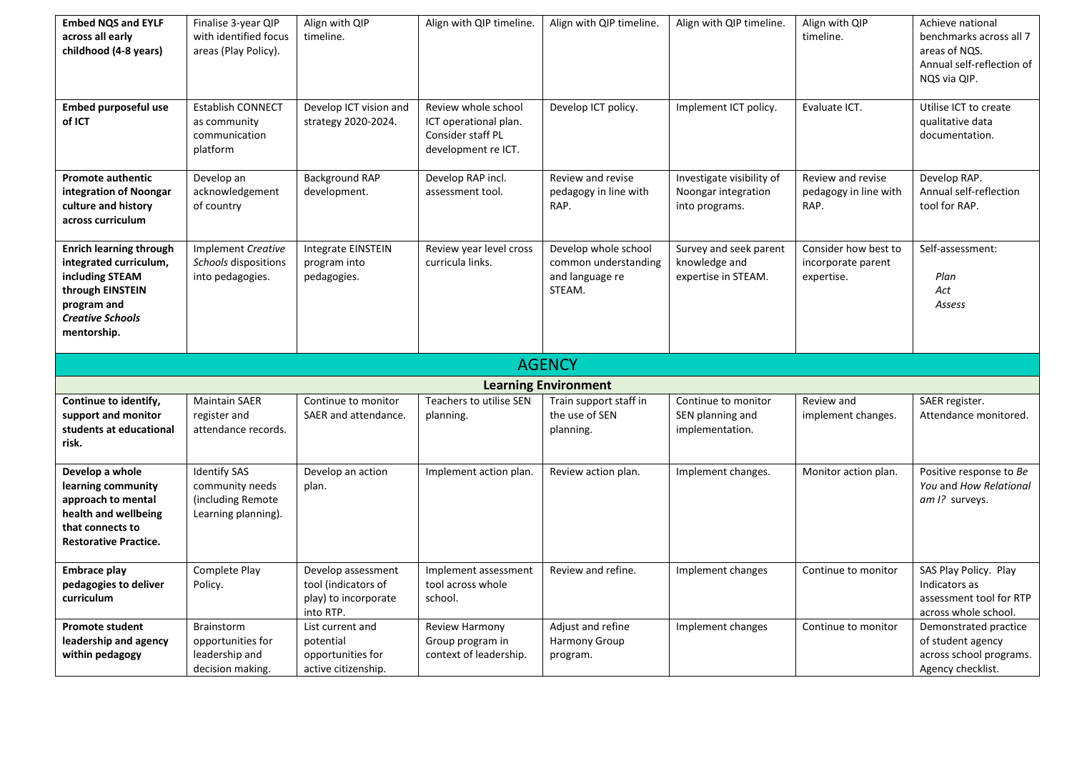| <b>Embed NQS and EYLF</b><br>across all early<br>childhood (4-8 years)                                                                                   | Finalise 3-year QIP<br>with identified focus<br>areas (Play Policy).               | Align with QIP<br>timeline.                                                    | Align with QIP timeline.                                                                 | Align with QIP timeline.                                                  | Align with QIP timeline.                                           | Align with QIP<br>timeline.                              | Achieve national<br>benchmarks across all 7<br>areas of NQS.<br>Annual self-reflection of<br>NQS via QIP. |
|----------------------------------------------------------------------------------------------------------------------------------------------------------|------------------------------------------------------------------------------------|--------------------------------------------------------------------------------|------------------------------------------------------------------------------------------|---------------------------------------------------------------------------|--------------------------------------------------------------------|----------------------------------------------------------|-----------------------------------------------------------------------------------------------------------|
| <b>Embed purposeful use</b><br>of ICT                                                                                                                    | Establish CONNECT<br>as community<br>communication<br>platform                     | Develop ICT vision and<br>strategy 2020-2024.                                  | Review whole school<br>ICT operational plan.<br>Consider staff PL<br>development re ICT. | Develop ICT policy.                                                       | Implement ICT policy.                                              | Evaluate ICT.                                            | Utilise ICT to create<br>qualitative data<br>documentation.                                               |
| <b>Promote authentic</b><br>integration of Noongar<br>culture and history<br>across curriculum                                                           | Develop an<br>acknowledgement<br>of country                                        | <b>Background RAP</b><br>development.                                          | Develop RAP incl.<br>assessment tool.                                                    | Review and revise<br>pedagogy in line with<br>RAP.                        | Investigate visibility of<br>Noongar integration<br>into programs. | Review and revise<br>pedagogy in line with<br>RAP.       | Develop RAP.<br>Annual self-reflection<br>tool for RAP.                                                   |
| <b>Enrich learning through</b><br>integrated curriculum,<br>including STEAM<br>through EINSTEIN<br>program and<br><b>Creative Schools</b><br>mentorship. | Implement Creative<br>Schools dispositions<br>into pedagogies.                     | Integrate EINSTEIN<br>program into<br>pedagogies.                              | Review year level cross<br>curricula links.                                              | Develop whole school<br>common understanding<br>and language re<br>STEAM. | Survey and seek parent<br>knowledge and<br>expertise in STEAM.     | Consider how best to<br>incorporate parent<br>expertise. | Self-assessment:<br>Plan<br>Act<br>Assess                                                                 |
|                                                                                                                                                          |                                                                                    |                                                                                |                                                                                          |                                                                           |                                                                    |                                                          |                                                                                                           |
|                                                                                                                                                          |                                                                                    |                                                                                |                                                                                          | <b>AGENCY</b>                                                             |                                                                    |                                                          |                                                                                                           |
|                                                                                                                                                          |                                                                                    |                                                                                |                                                                                          | <b>Learning Environment</b>                                               |                                                                    |                                                          |                                                                                                           |
| Continue to identify,<br>support and monitor<br>students at educational<br>risk.                                                                         | <b>Maintain SAER</b><br>register and<br>attendance records.                        | Continue to monitor<br>SAER and attendance.                                    | Teachers to utilise SEN<br>planning.                                                     | Train support staff in<br>the use of SEN<br>planning.                     | Continue to monitor<br>SEN planning and<br>implementation.         | Review and<br>implement changes.                         | SAER register.<br>Attendance monitored.                                                                   |
| Develop a whole<br>learning community<br>approach to mental<br>health and wellbeing<br>that connects to<br><b>Restorative Practice.</b>                  | <b>Identify SAS</b><br>community needs<br>(including Remote<br>Learning planning). | Develop an action<br>plan.                                                     | Implement action plan.                                                                   | Review action plan.                                                       | Implement changes.                                                 | Monitor action plan.                                     | Positive response to Be<br>You and How Relational<br>am I? surveys.                                       |
| <b>Embrace play</b><br>pedagogies to deliver<br>curriculum                                                                                               | Complete Play<br>Policy.                                                           | Develop assessment<br>tool (indicators of<br>play) to incorporate<br>into RTP. | Implement assessment<br>tool across whole<br>school.                                     | Review and refine.<br>Adjust and refine                                   | Implement changes<br>Implement changes                             | Continue to monitor                                      | SAS Play Policy. Play<br>Indicators as<br>assessment tool for RTP<br>across whole school.                 |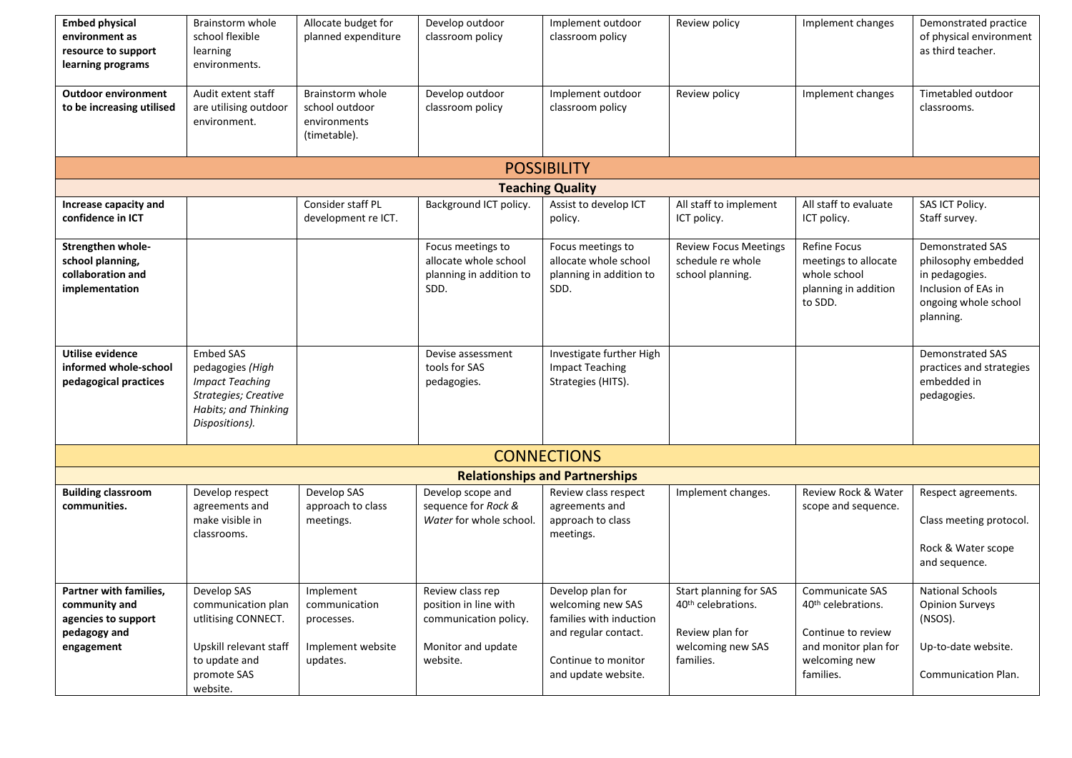| <b>Embed physical</b><br>environment as<br>resource to support<br>learning programs          | Brainstorm whole<br>school flexible<br>learning<br>environments.                                                                 | Allocate budget for<br>planned expenditure                                | Develop outdoor<br>classroom policy                                                                  | Implement outdoor<br>classroom policy                                                                                                  | Review policy                                                                                                 | Implement changes                                                                                                             | Demonstrated practice<br>of physical environment<br>as third teacher.                                                        |  |
|----------------------------------------------------------------------------------------------|----------------------------------------------------------------------------------------------------------------------------------|---------------------------------------------------------------------------|------------------------------------------------------------------------------------------------------|----------------------------------------------------------------------------------------------------------------------------------------|---------------------------------------------------------------------------------------------------------------|-------------------------------------------------------------------------------------------------------------------------------|------------------------------------------------------------------------------------------------------------------------------|--|
| <b>Outdoor environment</b><br>to be increasing utilised                                      | Audit extent staff<br>are utilising outdoor<br>environment.                                                                      | Brainstorm whole<br>school outdoor<br>environments<br>(timetable).        | Develop outdoor<br>classroom policy                                                                  | Implement outdoor<br>classroom policy                                                                                                  | Review policy                                                                                                 | Implement changes                                                                                                             | Timetabled outdoor<br>classrooms.                                                                                            |  |
|                                                                                              |                                                                                                                                  |                                                                           |                                                                                                      | <b>POSSIBILITY</b>                                                                                                                     |                                                                                                               |                                                                                                                               |                                                                                                                              |  |
|                                                                                              |                                                                                                                                  |                                                                           |                                                                                                      | <b>Teaching Quality</b>                                                                                                                |                                                                                                               |                                                                                                                               |                                                                                                                              |  |
| Increase capacity and<br>confidence in ICT                                                   |                                                                                                                                  | Consider staff PL<br>development re ICT.                                  | Background ICT policy.                                                                               | Assist to develop ICT<br>policy.                                                                                                       | All staff to implement<br>ICT policy.                                                                         | All staff to evaluate<br>ICT policy.                                                                                          | SAS ICT Policy.<br>Staff survey.                                                                                             |  |
| Strengthen whole-<br>school planning,<br>collaboration and<br>implementation                 |                                                                                                                                  |                                                                           | Focus meetings to<br>allocate whole school<br>planning in addition to<br>SDD.                        | Focus meetings to<br>allocate whole school<br>planning in addition to<br>SDD.                                                          | <b>Review Focus Meetings</b><br>schedule re whole<br>school planning.                                         | Refine Focus<br>meetings to allocate<br>whole school<br>planning in addition<br>to SDD.                                       | <b>Demonstrated SAS</b><br>philosophy embedded<br>in pedagogies.<br>Inclusion of EAs in<br>ongoing whole school<br>planning. |  |
| <b>Utilise evidence</b><br>informed whole-school<br>pedagogical practices                    | <b>Embed SAS</b><br>pedagogies (High<br><b>Impact Teaching</b><br>Strategies; Creative<br>Habits; and Thinking<br>Dispositions). |                                                                           | Devise assessment<br>tools for SAS<br>pedagogies.                                                    | Investigate further High<br><b>Impact Teaching</b><br>Strategies (HITS).                                                               |                                                                                                               |                                                                                                                               | <b>Demonstrated SAS</b><br>practices and strategies<br>embedded in<br>pedagogies.                                            |  |
| <b>CONNECTIONS</b>                                                                           |                                                                                                                                  |                                                                           |                                                                                                      |                                                                                                                                        |                                                                                                               |                                                                                                                               |                                                                                                                              |  |
|                                                                                              |                                                                                                                                  |                                                                           |                                                                                                      | <b>Relationships and Partnerships</b>                                                                                                  |                                                                                                               |                                                                                                                               |                                                                                                                              |  |
| <b>Building classroom</b><br>communities.                                                    | Develop respect<br>agreements and<br>make visible in<br>classrooms.                                                              | Develop SAS<br>approach to class<br>meetings.                             | Develop scope and<br>sequence for Rock &<br>Water for whole school.                                  | Review class respect<br>agreements and<br>approach to class<br>meetings.                                                               | Implement changes.                                                                                            | Review Rock & Water<br>scope and sequence.                                                                                    | Respect agreements.<br>Class meeting protocol.<br>Rock & Water scope<br>and sequence.                                        |  |
| Partner with families,<br>community and<br>agencies to support<br>pedagogy and<br>engagement | Develop SAS<br>communication plan<br>utlitising CONNECT.<br>Upskill relevant staff<br>to update and<br>promote SAS<br>website.   | Implement<br>communication<br>processes.<br>Implement website<br>updates. | Review class rep<br>position in line with<br>communication policy.<br>Monitor and update<br>website. | Develop plan for<br>welcoming new SAS<br>families with induction<br>and regular contact.<br>Continue to monitor<br>and update website. | Start planning for SAS<br>40 <sup>th</sup> celebrations.<br>Review plan for<br>welcoming new SAS<br>families. | Communicate SAS<br>40 <sup>th</sup> celebrations.<br>Continue to review<br>and monitor plan for<br>welcoming new<br>families. | <b>National Schools</b><br><b>Opinion Surveys</b><br>(NSOS).<br>Up-to-date website.<br>Communication Plan.                   |  |